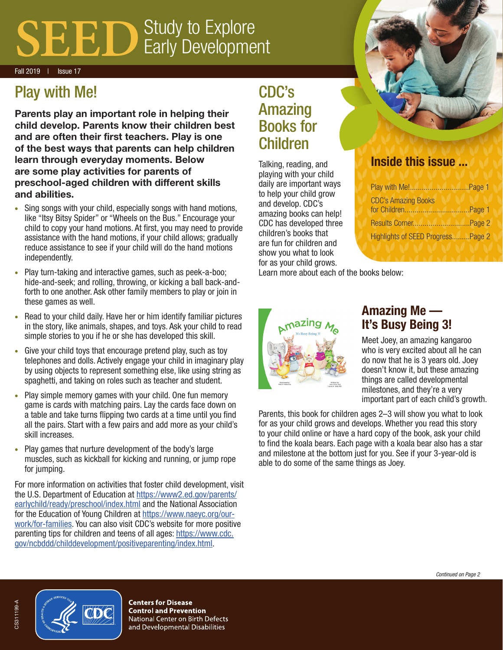## SEED Study to Explore Early Development

#### Fall 2019 | Issue 17

## Play with Me!

Parents play an important role in helping their child develop. Parents know their children best and are often their first teachers. Play is one of the best ways that parents can help children learn through everyday moments. Below are some play activities for parents of preschool-aged children with different skills and abilities.

- Sing songs with your child, especially songs with hand motions, like "Itsy Bitsy Spider" or "Wheels on the Bus." Encourage your child to copy your hand motions. At first, you may need to provide assistance with the hand motions, if your child allows; gradually reduce assistance to see if your child will do the hand motions independently.
- Play turn-taking and interactive games, such as peek-a-boo; hide-and-seek; and rolling, throwing, or kicking a ball back-andforth to one another. Ask other family members to play or join in these games as well.
- Read to your child daily. Have her or him identify familiar pictures in the story, like animals, shapes, and toys. Ask your child to read simple stories to you if he or she has developed this skill.
- Give your child toys that encourage pretend play, such as toy telephones and dolls. Actively engage your child in imaginary play by using objects to represent something else, like using string as spaghetti, and taking on roles such as teacher and student.
- Play simple memory games with your child. One fun memory game is cards with matching pairs. Lay the cards face down on a table and take turns flipping two cards at a time until you find all the pairs. Start with a few pairs and add more as your child's skill increases.
- Play games that nurture development of the body's large muscles, such as kickball for kicking and running, or jump rope for jumping.

For more information on activities that foster child development, visit the U.S. Department of Education at [https://www2.ed.gov/parents/](https://www2.ed.gov/parents/earlychild/ready/preschool/index.html) [earlychild/ready/preschool/index.html](https://www2.ed.gov/parents/earlychild/ready/preschool/index.html) and the National Association for the Education of Young Children at https://www.naeyc.org/ourwork/for-families. You can also visit CDC's website for more positive parenting tips for children and teens of all ages: [https://www.cdc.](https://www.cdc.gov/ncbddd/childdevelopment/positiveparenting/index.html) [gov/ncbddd/childdevelopment/positiveparenting/index.html.](https://www.cdc.gov/ncbddd/childdevelopment/positiveparenting/index.html)

### CDC's Amazing Books for Children

Talking, reading, and playing with your child daily are important ways to help your child grow and develop. CDC's amazing books can help! CDC has developed three children's books that are fun for children and show you what to look for as your child grows. Learn more about each of the books below:



# Amazing Me —

Inside this issue ...

CDC's Amazing Books

Play with Me!..............................Page 1

for Children.................................Page 1 Results Corner.............................Page 2 Highlights of SEED Progress.........Page 2

It's Busy Being 3!

Meet Joey, an amazing kangaroo who is very excited about all he can do now that he is 3 years old. Joey doesn't know it, but these amazing things are called developmental milestones, and they're a very important part of each child's growth.

Parents, this book for children ages 2–3 will show you what to look for as your child grows and develops. Whether you read this story to your child online or have a hard copy of the book, ask your child to find the koala bears. Each page with a koala bear also has a star and milestone at the bottom just for you. See if your 3-year-old is able to do some of the same things as Joey.





**Centers for Disease Control and Prevention** National Center on Birth Defects and Developmental Disabilities